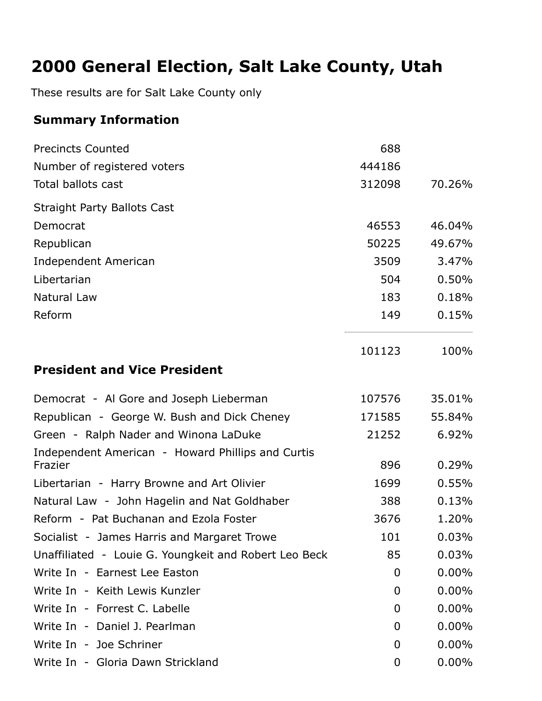# **2000 General Election, Salt Lake County, Utah**

These results are for Salt Lake County only

## **Summary Information**

| <b>Precincts Counted</b>                                     | 688            |          |
|--------------------------------------------------------------|----------------|----------|
| Number of registered voters                                  | 444186         |          |
| <b>Total ballots cast</b>                                    | 312098         | 70.26%   |
| <b>Straight Party Ballots Cast</b>                           |                |          |
| Democrat                                                     | 46553          | 46.04%   |
| Republican                                                   | 50225          | 49.67%   |
| <b>Independent American</b>                                  | 3509           | 3.47%    |
| Libertarian                                                  | 504            | 0.50%    |
| Natural Law                                                  | 183            | 0.18%    |
| Reform                                                       | 149            | 0.15%    |
|                                                              | 101123         | 100%     |
| <b>President and Vice President</b>                          |                |          |
| Democrat - Al Gore and Joseph Lieberman                      | 107576         | 35.01%   |
| Republican - George W. Bush and Dick Cheney                  | 171585         | 55.84%   |
| Green - Ralph Nader and Winona LaDuke                        | 21252          | 6.92%    |
| Independent American - Howard Phillips and Curtis<br>Frazier | 896            | 0.29%    |
| Libertarian - Harry Browne and Art Olivier                   | 1699           | 0.55%    |
| Natural Law - John Hagelin and Nat Goldhaber                 | 388            | 0.13%    |
| Reform - Pat Buchanan and Ezola Foster                       | 3676           | 1.20%    |
| Socialist - James Harris and Margaret Trowe                  | 101            | 0.03%    |
| Unaffiliated - Louie G. Youngkeit and Robert Leo Beck        | 85             | 0.03%    |
| Write In - Earnest Lee Easton                                | 0              | $0.00\%$ |
| Write In - Keith Lewis Kunzler                               | 0              | $0.00\%$ |
| Write In - Forrest C. Labelle                                | 0              | $0.00\%$ |
| Write In - Daniel J. Pearlman                                | 0              | $0.00\%$ |
| Write In - Joe Schriner                                      | $\overline{0}$ | 0.00%    |
| Write In - Gloria Dawn Strickland                            | 0              | $0.00\%$ |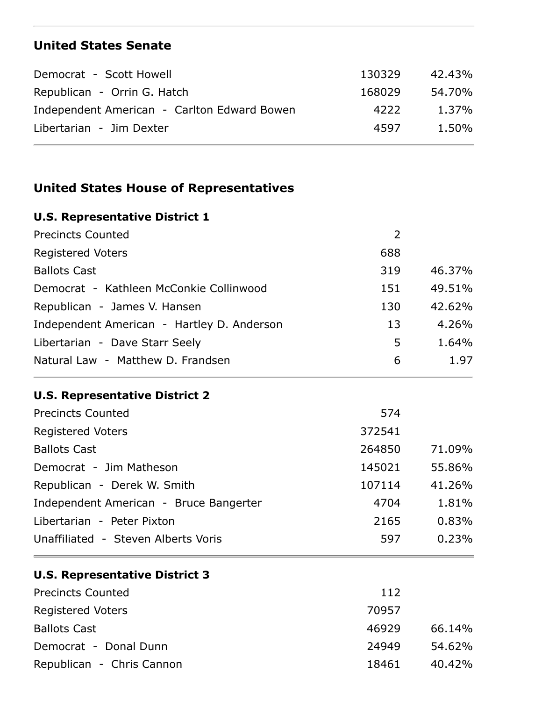### **United States Senate**

| Democrat - Scott Howell                     | 130329 | 42.43% |
|---------------------------------------------|--------|--------|
| Republican - Orrin G. Hatch                 | 168029 | 54.70% |
| Independent American - Carlton Edward Bowen | 4222   | 1.37%  |
| Libertarian - Jim Dexter                    | 4597   | 1.50%  |

### **United States House of Representatives**

| <b>U.S. Representative District 1</b>      |     |        |
|--------------------------------------------|-----|--------|
| <b>Precincts Counted</b>                   | 2   |        |
| <b>Registered Voters</b>                   | 688 |        |
| <b>Ballots Cast</b>                        | 319 | 46.37% |
| Democrat - Kathleen McConkie Collinwood    | 151 | 49.51% |
| Republican - James V. Hansen               | 130 | 42.62% |
| Independent American - Hartley D. Anderson | 13  | 4.26%  |
| Libertarian - Dave Starr Seely             | 5   | 1.64%  |
| Natural Law - Matthew D. Frandsen          | 6   | 1.97   |

#### **U.S. Representative District 2**

| <b>Precincts Counted</b>               | 574    |        |
|----------------------------------------|--------|--------|
| <b>Registered Voters</b>               | 372541 |        |
| <b>Ballots Cast</b>                    | 264850 | 71.09% |
| Democrat - Jim Matheson                | 145021 | 55.86% |
| Republican - Derek W. Smith            | 107114 | 41.26% |
| Independent American - Bruce Bangerter | 4704   | 1.81%  |
| Libertarian - Peter Pixton             | 2165   | 0.83%  |
| Unaffiliated - Steven Alberts Voris    | 597    | 0.23%  |

#### **U.S. Representative District 3**

| <b>Precincts Counted</b>  | 112   |           |
|---------------------------|-------|-----------|
| <b>Registered Voters</b>  | 70957 |           |
| <b>Ballots Cast</b>       | 46929 | 66.14%    |
| Democrat - Donal Dunn     | 24949 | 54.62%    |
| Republican - Chris Cannon | 18461 | $40.42\%$ |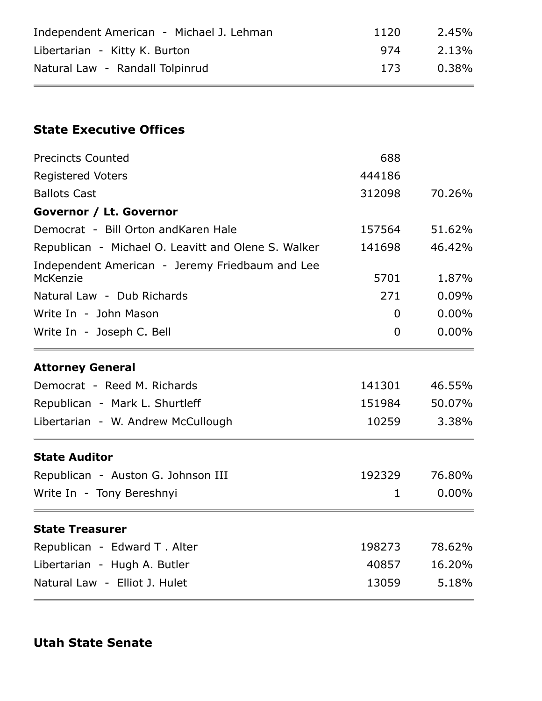| Independent American - Michael J. Lehman                    | 1120           | 2.45%    |
|-------------------------------------------------------------|----------------|----------|
| Libertarian - Kitty K. Burton                               | 974            | 2.13%    |
| Natural Law - Randall Tolpinrud                             | 173            | 0.38%    |
|                                                             |                |          |
| <b>State Executive Offices</b>                              |                |          |
| <b>Precincts Counted</b>                                    | 688            |          |
| <b>Registered Voters</b>                                    | 444186         |          |
| <b>Ballots Cast</b>                                         | 312098         | 70.26%   |
| Governor / Lt. Governor                                     |                |          |
| Democrat - Bill Orton and Karen Hale                        | 157564         | 51.62%   |
| Republican - Michael O. Leavitt and Olene S. Walker         | 141698         | 46.42%   |
| Independent American - Jeremy Friedbaum and Lee<br>McKenzie | 5701           | 1.87%    |
| Natural Law - Dub Richards                                  | 271            | 0.09%    |
| Write In - John Mason                                       | $\Omega$       | $0.00\%$ |
| Write In - Joseph C. Bell                                   | $\overline{0}$ | $0.00\%$ |
| <b>Attorney General</b>                                     |                |          |
| Democrat - Reed M. Richards                                 | 141301         | 46.55%   |
| Republican - Mark L. Shurtleff                              | 151984         | 50.07%   |
| Libertarian - W. Andrew McCullough                          | 10259          | 3.38%    |
| <b>State Auditor</b>                                        |                |          |
| Republican - Auston G. Johnson III                          | 192329         | 76.80%   |
| Write In - Tony Bereshnyi                                   | 1              | $0.00\%$ |
| <b>State Treasurer</b>                                      |                |          |
| Republican - Edward T. Alter                                | 198273         | 78.62%   |
| Libertarian - Hugh A. Butler                                | 40857          | 16.20%   |
| Natural Law - Elliot J. Hulet                               | 13059          | 5.18%    |

### **Utah State Senate**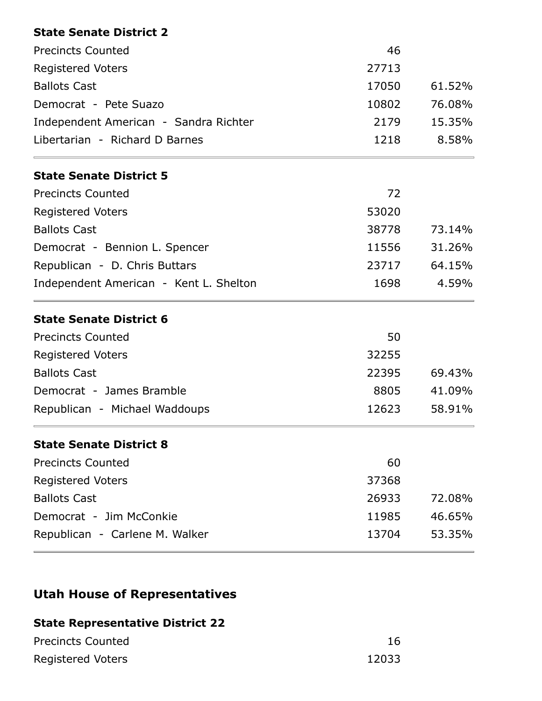| 46    |        |
|-------|--------|
| 27713 |        |
| 17050 | 61.52% |
| 10802 | 76.08% |
| 2179  | 15.35% |
| 1218  | 8.58%  |
|       |        |
| 72    |        |
| 53020 |        |
| 38778 | 73.14% |
| 11556 | 31.26% |
|       | 64.15% |
| 1698  | 4.59%  |
|       |        |
| 50    |        |
| 32255 |        |
| 22395 | 69.43% |
| 8805  | 41.09% |
| 12623 | 58.91% |
|       |        |
| 60    |        |
| 37368 |        |
| 26933 | 72.08% |
| 11985 | 46.65% |
| 13704 | 53.35% |
|       | 23717  |

## **Utah House of Representatives**

### **State Representative District 22**

| <b>Precincts Counted</b> |       |
|--------------------------|-------|
| <b>Registered Voters</b> | 12033 |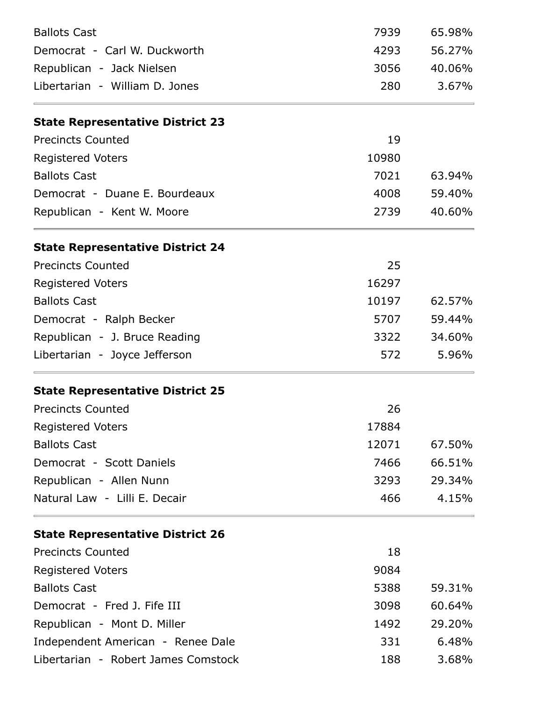| <b>Ballots Cast</b>                     | 7939  | 65.98% |
|-----------------------------------------|-------|--------|
| Democrat - Carl W. Duckworth            | 4293  | 56.27% |
| Republican - Jack Nielsen               | 3056  | 40.06% |
| Libertarian - William D. Jones          | 280   | 3.67%  |
| <b>State Representative District 23</b> |       |        |
| <b>Precincts Counted</b>                | 19    |        |
| <b>Registered Voters</b>                | 10980 |        |
| <b>Ballots Cast</b>                     | 7021  | 63.94% |
| Democrat - Duane E. Bourdeaux           | 4008  | 59.40% |
| Republican - Kent W. Moore              | 2739  | 40.60% |
| <b>State Representative District 24</b> |       |        |
| <b>Precincts Counted</b>                | 25    |        |
| <b>Registered Voters</b>                | 16297 |        |
| <b>Ballots Cast</b>                     | 10197 | 62.57% |
| Democrat - Ralph Becker                 | 5707  | 59.44% |
| Republican - J. Bruce Reading           | 3322  | 34.60% |
| Libertarian - Joyce Jefferson           | 572   | 5.96%  |
| <b>State Representative District 25</b> |       |        |
| <b>Precincts Counted</b>                | 26    |        |
| <b>Registered Voters</b>                | 17884 |        |
| <b>Ballots Cast</b>                     | 12071 | 67.50% |
| Democrat - Scott Daniels                | 7466  | 66.51% |
| Republican - Allen Nunn                 | 3293  | 29.34% |
| Natural Law - Lilli E. Decair           | 466   | 4.15%  |
| <b>State Representative District 26</b> |       |        |
| <b>Precincts Counted</b>                | 18    |        |
| <b>Registered Voters</b>                | 9084  |        |
| <b>Ballots Cast</b>                     | 5388  | 59.31% |
| Democrat - Fred J. Fife III             | 3098  | 60.64% |
| Republican - Mont D. Miller             | 1492  | 29.20% |
| Independent American - Renee Dale       | 331   | 6.48%  |
| Libertarian - Robert James Comstock     | 188   | 3.68%  |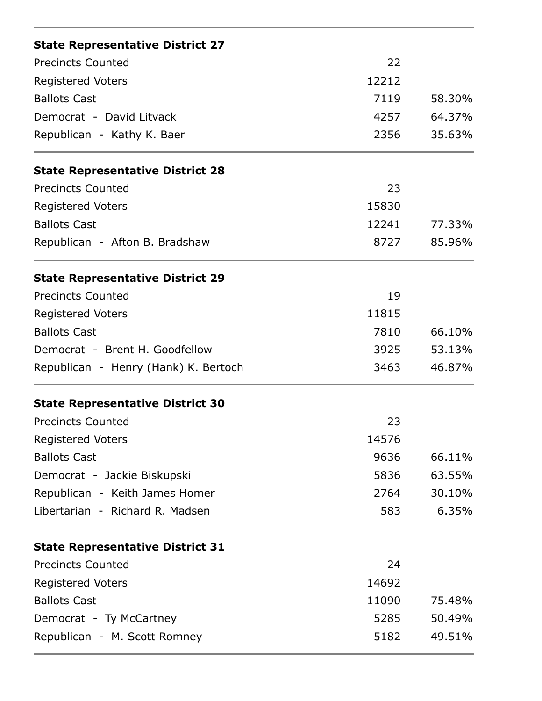| <b>State Representative District 27</b>              |       |        |
|------------------------------------------------------|-------|--------|
| <b>Precincts Counted</b><br><b>Registered Voters</b> | 22    |        |
|                                                      | 12212 |        |
| <b>Ballots Cast</b>                                  | 7119  | 58.30% |
| Democrat - David Litvack                             | 4257  | 64.37% |
| Republican - Kathy K. Baer                           | 2356  | 35.63% |
| <b>State Representative District 28</b>              |       |        |
| <b>Precincts Counted</b>                             | 23    |        |
| <b>Registered Voters</b>                             | 15830 |        |
| <b>Ballots Cast</b>                                  | 12241 | 77.33% |
| Republican - Afton B. Bradshaw                       | 8727  | 85.96% |
| <b>State Representative District 29</b>              |       |        |
| <b>Precincts Counted</b>                             | 19    |        |
| <b>Registered Voters</b>                             | 11815 |        |
| <b>Ballots Cast</b>                                  | 7810  | 66.10% |
| Democrat - Brent H. Goodfellow                       | 3925  | 53.13% |
| Republican - Henry (Hank) K. Bertoch                 | 3463  | 46.87% |
| <b>State Representative District 30</b>              |       |        |
| <b>Precincts Counted</b>                             | 23    |        |
| <b>Registered Voters</b>                             | 14576 |        |
| <b>Ballots Cast</b>                                  | 9636  | 66.11% |
| Democrat - Jackie Biskupski                          | 5836  | 63.55% |
| Republican - Keith James Homer                       | 2764  | 30.10% |
| Libertarian - Richard R. Madsen                      | 583   | 6.35%  |
| <b>State Representative District 31</b>              |       |        |
| <b>Precincts Counted</b>                             | 24    |        |
| <b>Registered Voters</b>                             | 14692 |        |
| <b>Ballots Cast</b>                                  | 11090 | 75.48% |
| Democrat - Ty McCartney                              | 5285  | 50.49% |
| Republican - M. Scott Romney                         | 5182  | 49.51% |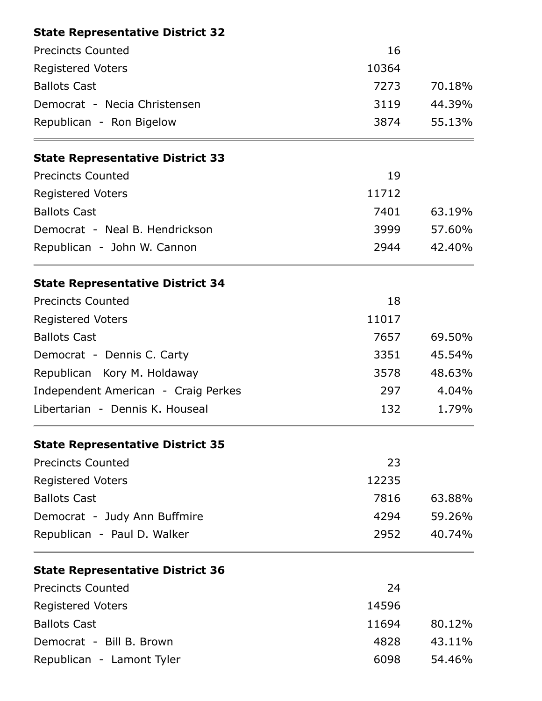| <b>State Representative District 32</b> |       |        |
|-----------------------------------------|-------|--------|
| <b>Precincts Counted</b>                | 16    |        |
| <b>Registered Voters</b>                | 10364 |        |
| <b>Ballots Cast</b>                     | 7273  | 70.18% |
| Democrat - Necia Christensen            | 3119  | 44.39% |
| Republican - Ron Bigelow                | 3874  | 55.13% |
| <b>State Representative District 33</b> |       |        |
| <b>Precincts Counted</b>                | 19    |        |
| <b>Registered Voters</b>                | 11712 |        |
| <b>Ballots Cast</b>                     | 7401  | 63.19% |
| Democrat - Neal B. Hendrickson          | 3999  | 57.60% |
| Republican - John W. Cannon             | 2944  | 42.40% |
| <b>State Representative District 34</b> |       |        |
| <b>Precincts Counted</b>                | 18    |        |
| <b>Registered Voters</b>                | 11017 |        |
| <b>Ballots Cast</b>                     | 7657  | 69.50% |
| Democrat - Dennis C. Carty              | 3351  | 45.54% |
| Republican Kory M. Holdaway             | 3578  | 48.63% |
| Independent American - Craig Perkes     | 297   | 4.04%  |
| Libertarian - Dennis K. Houseal         | 132   | 1.79%  |
| <b>State Representative District 35</b> |       |        |
| <b>Precincts Counted</b>                | 23    |        |
| <b>Registered Voters</b>                | 12235 |        |
| <b>Ballots Cast</b>                     | 7816  | 63.88% |
| Democrat - Judy Ann Buffmire            | 4294  | 59.26% |
| Republican - Paul D. Walker             | 2952  | 40.74% |
| <b>State Representative District 36</b> |       |        |
| <b>Precincts Counted</b>                | 24    |        |
| <b>Registered Voters</b>                | 14596 |        |
| <b>Ballots Cast</b>                     | 11694 | 80.12% |
| Democrat - Bill B. Brown                | 4828  | 43.11% |
| Republican - Lamont Tyler               | 6098  | 54.46% |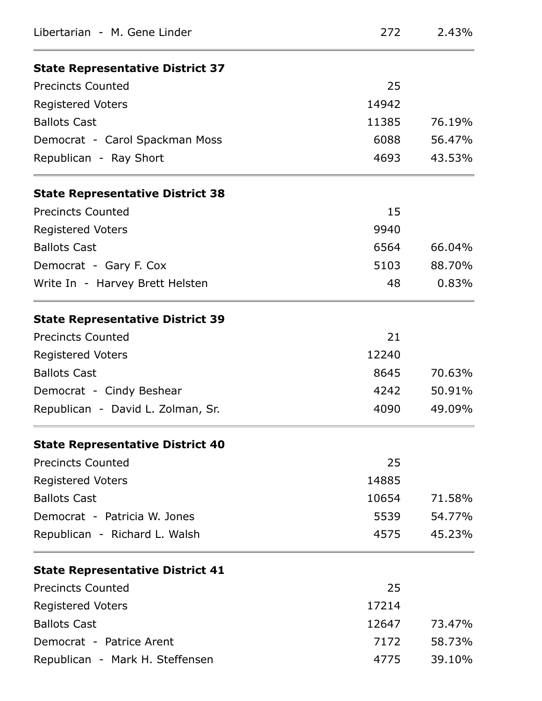| Libertarian - M. Gene Linder            | 272   | 2.43%  |
|-----------------------------------------|-------|--------|
| <b>State Representative District 37</b> |       |        |
| <b>Precincts Counted</b>                | 25    |        |
| <b>Registered Voters</b>                | 14942 |        |
| <b>Ballots Cast</b>                     | 11385 | 76.19% |
| Democrat - Carol Spackman Moss          | 6088  | 56.47% |
| Republican - Ray Short                  | 4693  | 43.53% |
| <b>State Representative District 38</b> |       |        |
| <b>Precincts Counted</b>                | 15    |        |
| <b>Registered Voters</b>                | 9940  |        |
| <b>Ballots Cast</b>                     | 6564  | 66.04% |
| Democrat - Gary F. Cox                  | 5103  | 88.70% |
| Write In - Harvey Brett Helsten         | 48    | 0.83%  |
| <b>State Representative District 39</b> |       |        |
| <b>Precincts Counted</b>                | 21    |        |
| <b>Registered Voters</b>                | 12240 |        |
| <b>Ballots Cast</b>                     | 8645  | 70.63% |
| Democrat - Cindy Beshear                | 4242  | 50.91% |
| Republican - David L. Zolman, Sr.       | 4090  | 49.09% |
| <b>State Representative District 40</b> |       |        |
| <b>Precincts Counted</b>                | 25    |        |
| <b>Registered Voters</b>                | 14885 |        |
| <b>Ballots Cast</b>                     | 10654 | 71.58% |
| Democrat - Patricia W. Jones            | 5539  | 54.77% |
| Republican - Richard L. Walsh           | 4575  | 45.23% |
| <b>State Representative District 41</b> |       |        |
| <b>Precincts Counted</b>                | 25    |        |
| <b>Registered Voters</b>                | 17214 |        |
| <b>Ballots Cast</b>                     | 12647 | 73.47% |
| Democrat - Patrice Arent                | 7172  | 58.73% |
| Republican - Mark H. Steffensen         | 4775  | 39.10% |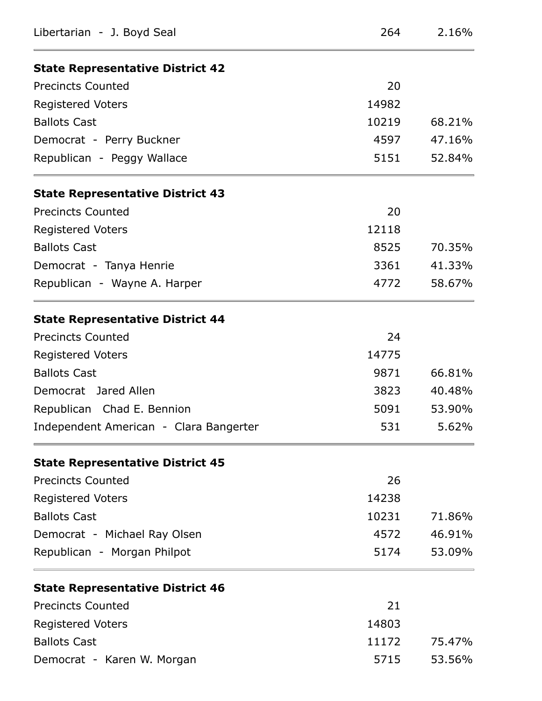| Libertarian - J. Boyd Seal              | 264   | 2.16%  |
|-----------------------------------------|-------|--------|
| <b>State Representative District 42</b> |       |        |
| <b>Precincts Counted</b>                | 20    |        |
| <b>Registered Voters</b>                | 14982 |        |
| <b>Ballots Cast</b>                     | 10219 | 68.21% |
| Democrat - Perry Buckner                | 4597  | 47.16% |
| Republican - Peggy Wallace              | 5151  | 52.84% |
| <b>State Representative District 43</b> |       |        |
| <b>Precincts Counted</b>                | 20    |        |
| <b>Registered Voters</b>                | 12118 |        |
| <b>Ballots Cast</b>                     | 8525  | 70.35% |
| Democrat - Tanya Henrie                 | 3361  | 41.33% |
| Republican - Wayne A. Harper            | 4772  | 58.67% |
| <b>State Representative District 44</b> |       |        |
| <b>Precincts Counted</b>                | 24    |        |
| <b>Registered Voters</b>                | 14775 |        |
| <b>Ballots Cast</b>                     | 9871  | 66.81% |
| Democrat Jared Allen                    | 3823  | 40.48% |
| Republican Chad E. Bennion              | 5091  | 53.90% |
| Independent American - Clara Bangerter  | 531   | 5.62%  |
| <b>State Representative District 45</b> |       |        |
| <b>Precincts Counted</b>                | 26    |        |
| <b>Registered Voters</b>                | 14238 |        |
| <b>Ballots Cast</b>                     | 10231 | 71.86% |
| Democrat - Michael Ray Olsen            | 4572  | 46.91% |
| Republican - Morgan Philpot             | 5174  | 53.09% |
| <b>State Representative District 46</b> |       |        |
| <b>Precincts Counted</b>                | 21    |        |
| <b>Registered Voters</b>                | 14803 |        |
| <b>Ballots Cast</b>                     | 11172 | 75.47% |
| Democrat - Karen W. Morgan              | 5715  | 53.56% |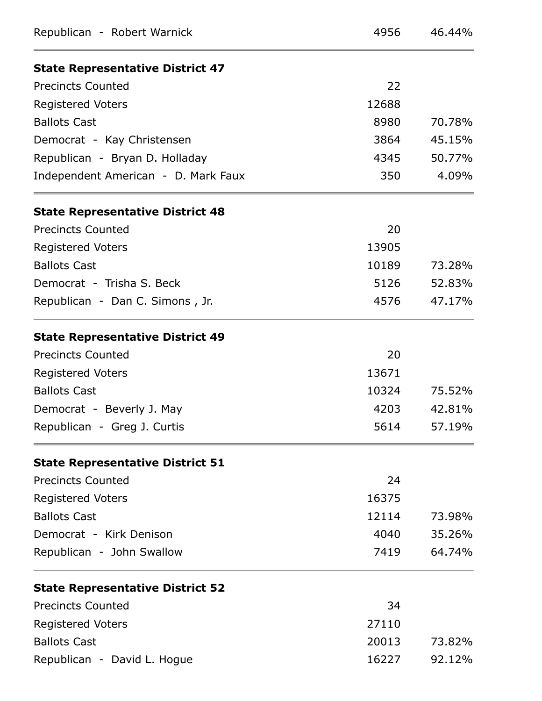| Republican - Robert Warnick             | 4956  | 46.44% |
|-----------------------------------------|-------|--------|
| <b>State Representative District 47</b> |       |        |
| <b>Precincts Counted</b>                | 22    |        |
| <b>Registered Voters</b>                | 12688 |        |
| <b>Ballots Cast</b>                     | 8980  | 70.78% |
| Democrat - Kay Christensen              | 3864  | 45.15% |
| Republican - Bryan D. Holladay          | 4345  | 50.77% |
| Independent American - D. Mark Faux     | 350   | 4.09%  |
| <b>State Representative District 48</b> |       |        |
| <b>Precincts Counted</b>                | 20    |        |
| <b>Registered Voters</b>                | 13905 |        |
| <b>Ballots Cast</b>                     | 10189 | 73.28% |
| Democrat - Trisha S. Beck               | 5126  | 52.83% |
| Republican - Dan C. Simons, Jr.         | 4576  | 47.17% |
| <b>State Representative District 49</b> |       |        |
| <b>Precincts Counted</b>                | 20    |        |
| <b>Registered Voters</b>                | 13671 |        |
| <b>Ballots Cast</b>                     | 10324 | 75.52% |
| Democrat - Beverly J. May               | 4203  | 42.81% |
| Republican - Greg J. Curtis             | 5614  | 57.19% |
| <b>State Representative District 51</b> |       |        |
| <b>Precincts Counted</b>                | 24    |        |
| <b>Registered Voters</b>                | 16375 |        |
| <b>Ballots Cast</b>                     | 12114 | 73.98% |
| Democrat - Kirk Denison                 | 4040  | 35.26% |
| Republican - John Swallow               | 7419  | 64.74% |
| <b>State Representative District 52</b> |       |        |
| <b>Precincts Counted</b>                | 34    |        |
| <b>Registered Voters</b>                | 27110 |        |
| <b>Ballots Cast</b>                     | 20013 | 73.82% |
| Republican - David L. Hogue             | 16227 | 92.12% |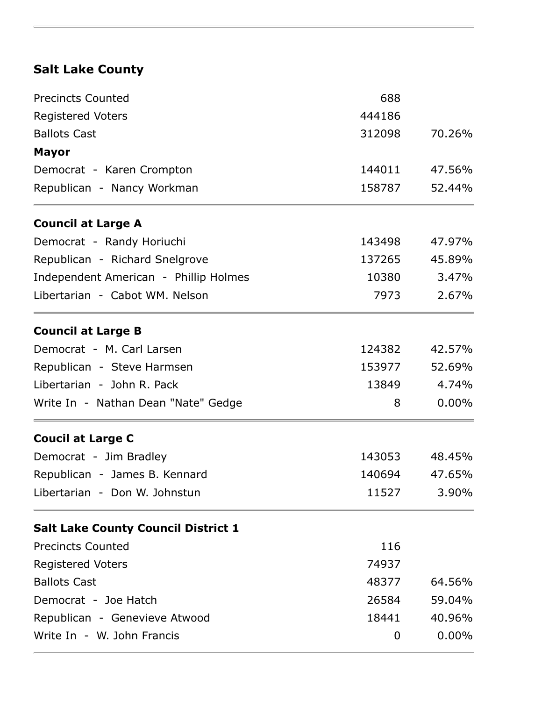## **Salt Lake County**

| <b>Precincts Counted</b>                   | 688    |          |
|--------------------------------------------|--------|----------|
| <b>Registered Voters</b>                   | 444186 |          |
| <b>Ballots Cast</b>                        | 312098 | 70.26%   |
| <b>Mayor</b>                               |        |          |
| Democrat - Karen Crompton                  | 144011 | 47.56%   |
| Republican - Nancy Workman                 | 158787 | 52.44%   |
| <b>Council at Large A</b>                  |        |          |
| Democrat - Randy Horiuchi                  | 143498 | 47.97%   |
| Republican - Richard Snelgrove             | 137265 | 45.89%   |
| Independent American - Phillip Holmes      | 10380  | 3.47%    |
| Libertarian - Cabot WM, Nelson             | 7973   | 2.67%    |
| <b>Council at Large B</b>                  |        |          |
| Democrat - M. Carl Larsen                  | 124382 | 42.57%   |
| Republican - Steve Harmsen                 | 153977 | 52.69%   |
| Libertarian - John R. Pack                 | 13849  | 4.74%    |
| Write In - Nathan Dean "Nate" Gedge        | 8      | 0.00%    |
| <b>Coucil at Large C</b>                   |        |          |
| Democrat - Jim Bradley                     | 143053 | 48.45%   |
| Republican - James B. Kennard              | 140694 | 47.65%   |
| Libertarian - Don W. Johnstun              | 11527  | 3.90%    |
| <b>Salt Lake County Council District 1</b> |        |          |
| <b>Precincts Counted</b>                   | 116    |          |
| <b>Registered Voters</b>                   | 74937  |          |
| <b>Ballots Cast</b>                        | 48377  | 64.56%   |
| Democrat - Joe Hatch                       | 26584  | 59.04%   |
| Republican - Genevieve Atwood              | 18441  | 40.96%   |
| Write In - W. John Francis                 | 0      | $0.00\%$ |
|                                            |        |          |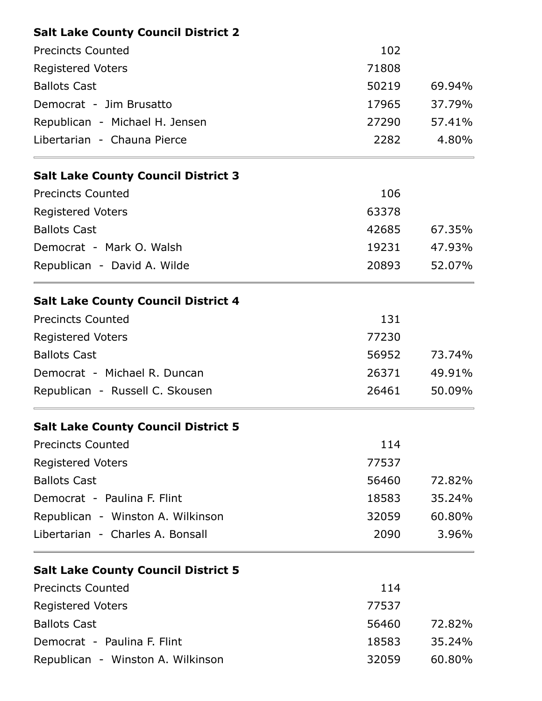| <b>Salt Lake County Council District 2</b> |       |        |
|--------------------------------------------|-------|--------|
| <b>Precincts Counted</b>                   | 102   |        |
| <b>Registered Voters</b>                   | 71808 |        |
| <b>Ballots Cast</b>                        | 50219 | 69.94% |
| Democrat - Jim Brusatto                    | 17965 | 37.79% |
| Republican - Michael H. Jensen             | 27290 | 57.41% |
| Libertarian - Chauna Pierce                | 2282  | 4.80%  |
| <b>Salt Lake County Council District 3</b> |       |        |
| <b>Precincts Counted</b>                   | 106   |        |
| <b>Registered Voters</b>                   | 63378 |        |
| <b>Ballots Cast</b>                        | 42685 | 67.35% |
| Democrat - Mark O. Walsh                   | 19231 | 47.93% |
| Republican - David A. Wilde                | 20893 | 52.07% |
| <b>Salt Lake County Council District 4</b> |       |        |
| <b>Precincts Counted</b>                   | 131   |        |
| <b>Registered Voters</b>                   | 77230 |        |
| <b>Ballots Cast</b>                        | 56952 | 73.74% |
| Democrat - Michael R. Duncan               | 26371 | 49.91% |
| Republican - Russell C. Skousen            | 26461 | 50.09% |
| <b>Salt Lake County Council District 5</b> |       |        |
| <b>Precincts Counted</b>                   | 114   |        |
| <b>Registered Voters</b>                   | 77537 |        |
| <b>Ballots Cast</b>                        | 56460 | 72.82% |
| Democrat - Paulina F. Flint                | 18583 | 35.24% |
| Republican - Winston A. Wilkinson          | 32059 | 60.80% |
| Libertarian - Charles A. Bonsall           | 2090  | 3.96%  |
| <b>Salt Lake County Council District 5</b> |       |        |
| <b>Precincts Counted</b>                   | 114   |        |
| <b>Registered Voters</b>                   | 77537 |        |
| <b>Ballots Cast</b>                        | 56460 | 72.82% |
| Democrat - Paulina F. Flint                | 18583 | 35.24% |
| Republican - Winston A. Wilkinson          | 32059 | 60.80% |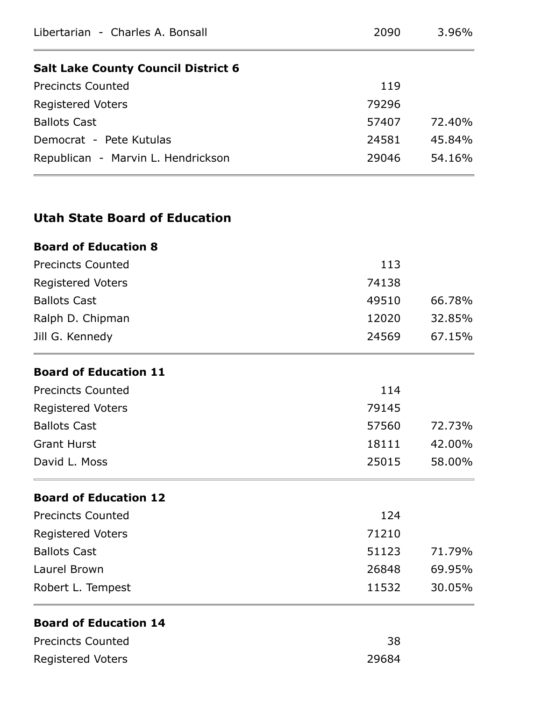| Libertarian - Charles A. Bonsall           | 2090  | $3.96\%$ |
|--------------------------------------------|-------|----------|
| <b>Salt Lake County Council District 6</b> |       |          |
| <b>Precincts Counted</b>                   | 119   |          |
| <b>Registered Voters</b>                   | 79296 |          |
| <b>Ballots Cast</b>                        | 57407 | 72.40%   |
| Democrat - Pete Kutulas                    | 24581 | 45.84%   |
| Republican - Marvin L. Hendrickson         | 29046 | 54.16%   |
| <b>Utah State Board of Education</b>       |       |          |
| <b>Board of Education 8</b>                |       |          |
| <b>Precincts Counted</b>                   | 113   |          |
| <b>Registered Voters</b>                   | 74138 |          |
| <b>Ballots Cast</b>                        | 49510 | 66.78%   |
| Ralph D. Chipman                           | 12020 | 32.85%   |
| Jill G. Kennedy                            | 24569 | 67.15%   |
| <b>Board of Education 11</b>               |       |          |
| <b>Precincts Counted</b>                   | 114   |          |
| <b>Registered Voters</b>                   | 79145 |          |
| <b>Ballots Cast</b>                        | 57560 | 72.73%   |
| <b>Grant Hurst</b>                         | 18111 | 42.00%   |
| David L. Moss                              | 25015 | 58.00%   |
| <b>Board of Education 12</b>               |       |          |
| <b>Precincts Counted</b>                   | 124   |          |
| Registered Voters                          | 71210 |          |
| <b>Ballots Cast</b>                        | 51123 | 71.79%   |
| Laurel Brown                               | 26848 | 69.95%   |
| Robert L. Tempest                          | 11532 | 30.05%   |
| <b>Board of Education 14</b>               |       |          |
| <b>Precincts Counted</b>                   | 38    |          |
| <b>Registered Voters</b>                   | 29684 |          |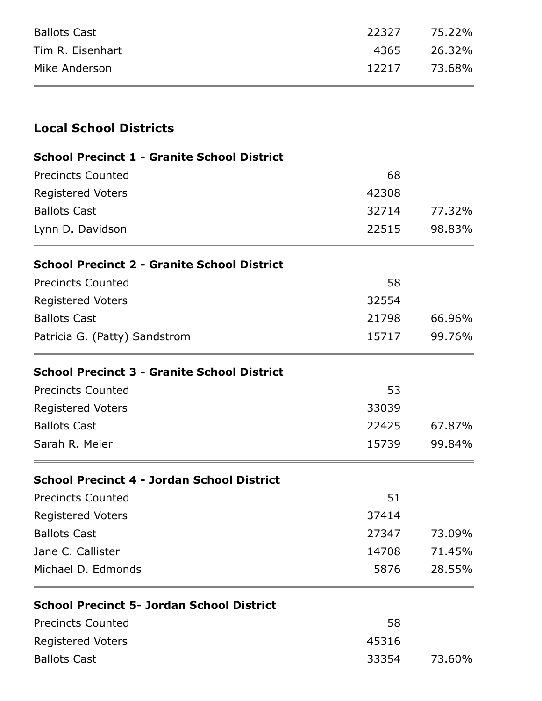| <b>Ballots Cast</b> | 22327 75.22% |  |
|---------------------|--------------|--|
| Tim R. Eisenhart    | 4365 26.32%  |  |
| Mike Anderson       | 12217 73.68% |  |

### **Local School Districts**

#### **School Precinct 1 - Granite School District**

| <b>Precincts Counted</b> | 68    |        |
|--------------------------|-------|--------|
| <b>Registered Voters</b> | 42308 |        |
| <b>Ballots Cast</b>      | 32714 | 77.32% |
| Lynn D. Davidson         | 22515 | 98.83% |

#### **School Precinct 2 - Granite School District**

| <b>Precincts Counted</b>      | 58    |        |
|-------------------------------|-------|--------|
| <b>Registered Voters</b>      | 32554 |        |
| <b>Ballots Cast</b>           | 21798 | 66.96% |
| Patricia G. (Patty) Sandstrom | 15717 | 99.76% |

#### **School Precinct 3 - Granite School District**

| <b>Precincts Counted</b> | 53    |        |
|--------------------------|-------|--------|
| <b>Registered Voters</b> | 33039 |        |
| <b>Ballots Cast</b>      | 22425 | 67.87% |
| Sarah R. Meier           | 15739 | 99.84% |

#### **School Precinct 4 - Jordan School District**

| 51    |        |
|-------|--------|
| 37414 |        |
| 27347 | 73.09% |
| 14708 | 71.45% |
| 5876  | 28.55% |
|       |        |

#### **School Precinct 5- Jordan School District**

| <b>Precincts Counted</b> | 58    |        |
|--------------------------|-------|--------|
| <b>Registered Voters</b> | 45316 |        |
| <b>Ballots Cast</b>      | 33354 | 73.60% |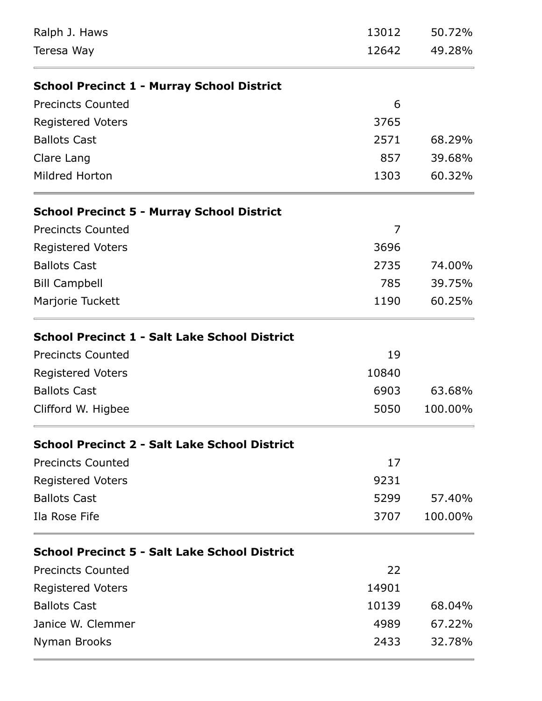| Ralph J. Haws                                        | 13012 | 50.72%  |
|------------------------------------------------------|-------|---------|
| Teresa Way                                           | 12642 | 49.28%  |
| <b>School Precinct 1 - Murray School District</b>    |       |         |
| <b>Precincts Counted</b>                             | 6     |         |
| <b>Registered Voters</b>                             | 3765  |         |
| <b>Ballots Cast</b>                                  | 2571  | 68.29%  |
| Clare Lang                                           | 857   | 39.68%  |
| Mildred Horton                                       | 1303  | 60.32%  |
| <b>School Precinct 5 - Murray School District</b>    |       |         |
| <b>Precincts Counted</b>                             | 7     |         |
| <b>Registered Voters</b>                             | 3696  |         |
| <b>Ballots Cast</b>                                  | 2735  | 74.00%  |
| <b>Bill Campbell</b>                                 | 785   | 39.75%  |
| Marjorie Tuckett                                     | 1190  | 60.25%  |
| <b>School Precinct 1 - Salt Lake School District</b> |       |         |
| <b>Precincts Counted</b>                             | 19    |         |
| <b>Registered Voters</b>                             | 10840 |         |
| <b>Ballots Cast</b>                                  | 6903  | 63.68%  |
| Clifford W. Higbee                                   | 5050  | 100.00% |
| <b>School Precinct 2 - Salt Lake School District</b> |       |         |
| <b>Precincts Counted</b>                             | 17    |         |
| <b>Registered Voters</b>                             | 9231  |         |
| <b>Ballots Cast</b>                                  | 5299  | 57.40%  |
| Ila Rose Fife                                        | 3707  | 100.00% |
| <b>School Precinct 5 - Salt Lake School District</b> |       |         |
| <b>Precincts Counted</b>                             | 22    |         |
| <b>Registered Voters</b>                             | 14901 |         |
| <b>Ballots Cast</b>                                  | 10139 | 68.04%  |
| Janice W. Clemmer                                    | 4989  | 67.22%  |
| Nyman Brooks                                         | 2433  | 32.78%  |
|                                                      |       |         |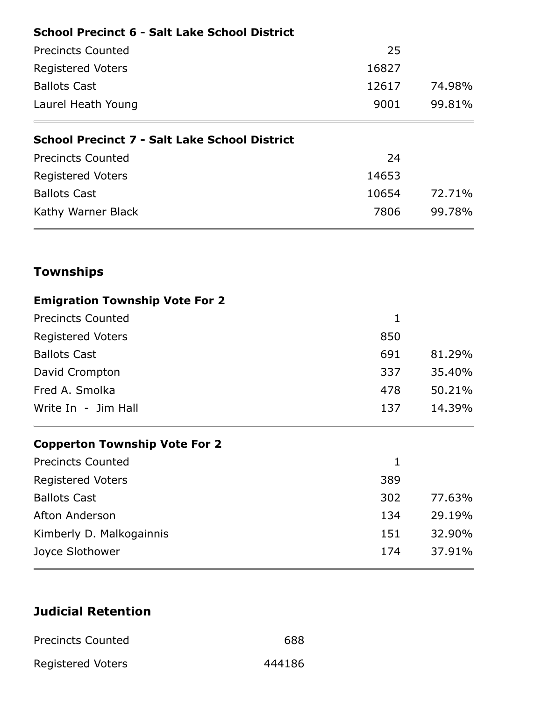| <b>School Precinct 6 - Salt Lake School District</b> |                |                  |
|------------------------------------------------------|----------------|------------------|
| <b>Precincts Counted</b>                             | 25             |                  |
| <b>Registered Voters</b>                             | 16827<br>12617 | 74.98%<br>99.81% |
| <b>Ballots Cast</b><br>Laurel Heath Young            |                |                  |
|                                                      | 9001           |                  |
| <b>School Precinct 7 - Salt Lake School District</b> |                |                  |
| <b>Precincts Counted</b>                             | 24             |                  |
| <b>Registered Voters</b>                             | 14653          |                  |
| <b>Ballots Cast</b>                                  | 10654          | 72.71%           |
| Kathy Warner Black                                   | 7806           | 99.78%           |
| <b>Townships</b>                                     |                |                  |
| <b>Emigration Township Vote For 2</b>                |                |                  |
| <b>Precincts Counted</b>                             | 1              |                  |
| Registered Voters                                    | 850            |                  |

| <b>Precincts Counted</b> |     |        |
|--------------------------|-----|--------|
| <b>Registered Voters</b> | 850 |        |
| <b>Ballots Cast</b>      | 691 | 81.29% |
| David Crompton           | 337 | 35.40% |
| Fred A. Smolka           | 478 | 50.21% |
| Write In - Jim Hall      | 137 | 14.39% |

## **Copperton Township Vote For 2**

| 389 |        |
|-----|--------|
| 302 | 77.63% |
| 134 | 29.19% |
| 151 | 32.90% |
| 174 | 37.91% |
|     |        |

## **Judicial Retention**

| <b>Precincts Counted</b> | 688    |
|--------------------------|--------|
| <b>Registered Voters</b> | 444186 |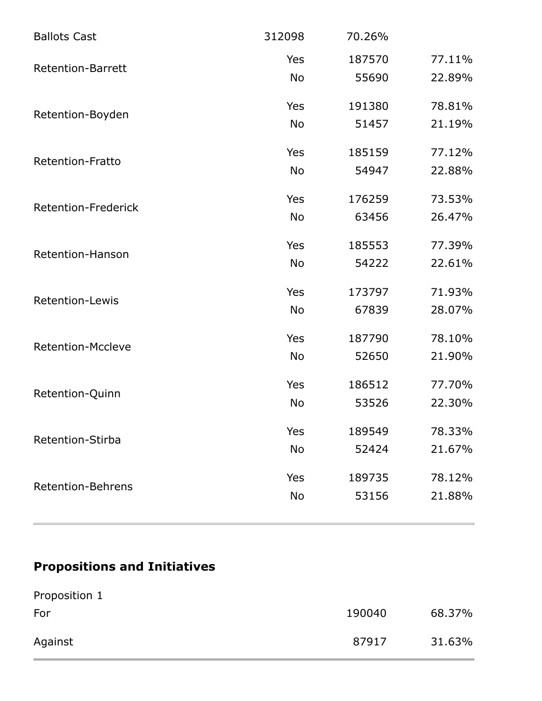| <b>Ballots Cast</b>        | 312098    | 70.26% |        |
|----------------------------|-----------|--------|--------|
|                            | Yes       | 187570 | 77.11% |
| <b>Retention-Barrett</b>   | <b>No</b> | 55690  | 22.89% |
| Retention-Boyden           | Yes       | 191380 | 78.81% |
|                            | <b>No</b> | 51457  | 21.19% |
| Retention-Fratto           | Yes       | 185159 | 77.12% |
|                            | <b>No</b> | 54947  | 22.88% |
| <b>Retention-Frederick</b> | Yes       | 176259 | 73.53% |
|                            | <b>No</b> | 63456  | 26.47% |
| Retention-Hanson           | Yes       | 185553 | 77.39% |
|                            | <b>No</b> | 54222  | 22.61% |
| <b>Retention-Lewis</b>     | Yes       | 173797 | 71.93% |
|                            | <b>No</b> | 67839  | 28.07% |
| <b>Retention-Mccleve</b>   | Yes       | 187790 | 78.10% |
|                            | <b>No</b> | 52650  | 21.90% |
| Retention-Quinn            | Yes       | 186512 | 77.70% |
|                            | <b>No</b> | 53526  | 22.30% |
| Retention-Stirba           | Yes       | 189549 | 78.33% |
|                            | <b>No</b> | 52424  | 21.67% |
|                            | Yes       | 189735 | 78.12% |
| <b>Retention-Behrens</b>   | <b>No</b> | 53156  | 21.88% |
|                            |           |        |        |

## **Propositions and Initiatives**

| Proposition 1 |        |        |
|---------------|--------|--------|
| For           | 190040 | 68.37% |
| Against       | 87917  | 31.63% |